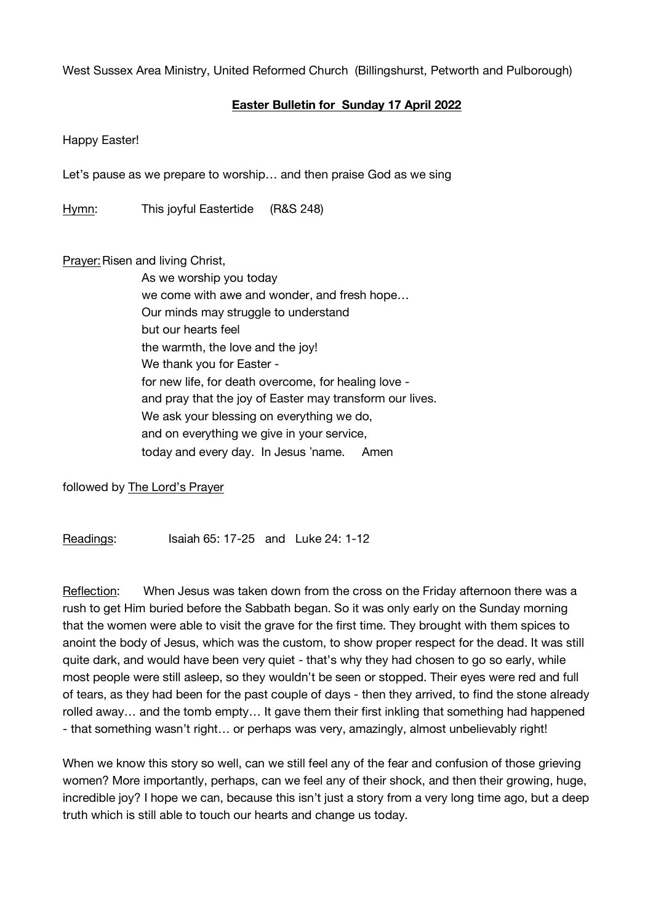West Sussex Area Ministry, United Reformed Church (Billingshurst, Petworth and Pulborough)

## **Easter Bulletin for Sunday 17 April 2022**

Happy Easter!

Let's pause as we prepare to worship… and then praise God as we sing

Hymn: This joyful Eastertide (R&S 248)

Prayer: Risen and living Christ,

As we worship you today we come with awe and wonder, and fresh hope… Our minds may struggle to understand but our hearts feel the warmth, the love and the joy! We thank you for Easter for new life, for death overcome, for healing love and pray that the joy of Easter may transform our lives. We ask your blessing on everything we do, and on everything we give in your service, today and every day. In Jesus "name. Amen

followed by The Lord's Prayer

Readings: Isaiah 65: 17-25 and Luke 24: 1-12

Reflection: When Jesus was taken down from the cross on the Friday afternoon there was a rush to get Him buried before the Sabbath began. So it was only early on the Sunday morning that the women were able to visit the grave for the first time. They brought with them spices to anoint the body of Jesus, which was the custom, to show proper respect for the dead. It was still quite dark, and would have been very quiet - that's why they had chosen to go so early, while most people were still asleep, so they wouldn't be seen or stopped. Their eyes were red and full of tears, as they had been for the past couple of days - then they arrived, to find the stone already rolled away… and the tomb empty… It gave them their first inkling that something had happened - that something wasn't right… or perhaps was very, amazingly, almost unbelievably right!

When we know this story so well, can we still feel any of the fear and confusion of those grieving women? More importantly, perhaps, can we feel any of their shock, and then their growing, huge, incredible joy? I hope we can, because this isn't just a story from a very long time ago, but a deep truth which is still able to touch our hearts and change us today.